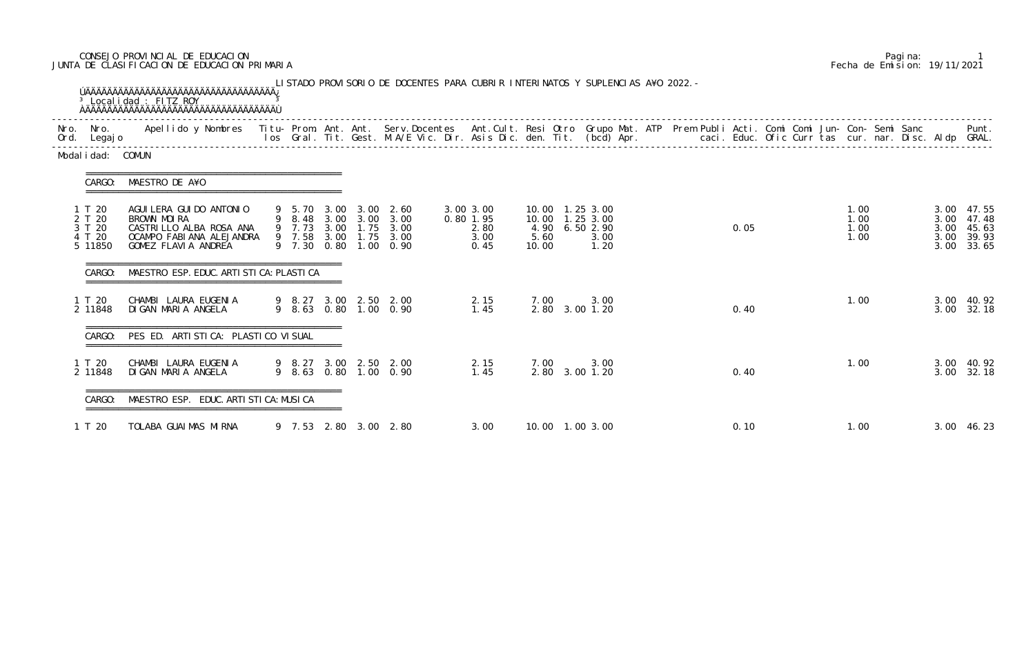## CONSEJO PROVINCIAL DE EDUCACION Pagina: 1 JUNTA DE CLASIFICACION DE EDUCACION PRIMARIA Fecha de Emision: 19/11/2021

| Modal i dad: COMUN                              |                                                                                                                         |  |  |                                                                                                                           |                                                |               |                                                                        |  |  |      |  |                              |  |                              |                                                |
|-------------------------------------------------|-------------------------------------------------------------------------------------------------------------------------|--|--|---------------------------------------------------------------------------------------------------------------------------|------------------------------------------------|---------------|------------------------------------------------------------------------|--|--|------|--|------------------------------|--|------------------------------|------------------------------------------------|
| CARGO:                                          | MAESTRO DE A¥O                                                                                                          |  |  |                                                                                                                           |                                                |               |                                                                        |  |  |      |  |                              |  |                              |                                                |
| 1 T 20<br>2 T 20<br>3 T 20<br>4 T 20<br>5 11850 | AGUI LERA GUI DO ANTONI O<br>BROWN MOIRA<br>CASTRI LLO ALBA ROSA ANA<br>OCAMPO FABIANA ALEJANDRA<br>GOMEZ FLAVIA ANDREA |  |  | 9 5.70 3.00 3.00 2.60<br>9 8.48 3.00 3.00 3.00<br>9 7.73 3.00 1.75 3.00<br>9 7.58 3.00 1.75 3.00<br>9 7.30 0.80 1.00 0.90 | 3.00 3.00<br>0.80 1.95<br>2.80<br>3.00<br>0.45 | 5.60<br>10.00 | 10.00 1.25 3.00<br>10.00  1.25  3.00<br>4.90 6.50 2.90<br>3.00<br>1.20 |  |  | 0.05 |  | 1.00<br>1.00<br>1.00<br>1.00 |  | 3.00<br>3.00<br>3.00<br>3.00 | 3.00 47.55<br>47.48<br>45.63<br>39.93<br>33.65 |
| CARGO:                                          | MAESTRO ESP. EDUC. ARTI STI CA: PLASTI CA                                                                               |  |  |                                                                                                                           |                                                |               |                                                                        |  |  |      |  |                              |  |                              |                                                |
| 1 T 20<br>2 11848                               | CHAMBI LAURA EUGENIA<br>DIGAN MARIA ANGELA                                                                              |  |  | 9 8.27 3.00 2.50 2.00<br>9 8.63 0.80 1.00 0.90                                                                            | 2.15<br>1.45                                   | 7.00          | 3.00<br>2.80 3.00 1.20                                                 |  |  | 0.40 |  | 1.00                         |  | 3.00                         | 3.00 40.92<br>32.18                            |
| CARGO:                                          | PES ED. ARTISTICA: PLASTICO VISUAL                                                                                      |  |  |                                                                                                                           |                                                |               |                                                                        |  |  |      |  |                              |  |                              |                                                |
| 1 T 20<br>2 11848                               | CHAMBI LAURA EUGENIA<br>DI GAN MARI A ANGELA                                                                            |  |  | 9 8.27 3.00 2.50 2.00<br>9 8.63 0.80 1.00 0.90                                                                            | 2.15<br>1.45                                   | 7.00          | 3.00<br>2.80 3.00 1.20                                                 |  |  | 0.40 |  | 1.00                         |  |                              | 3.00 40.92<br>3.00 32.18                       |
|                                                 | MAESTRO ESP. EDUC. ARTI STI CA: MUSI CA                                                                                 |  |  |                                                                                                                           |                                                |               |                                                                        |  |  |      |  |                              |  |                              |                                                |
| 1 T 20                                          | TOLABA GUAIMAS MIRNA                                                                                                    |  |  | 9 7.53 2.80 3.00 2.80                                                                                                     | 3.00                                           |               | 10.00  1.00  3.00                                                      |  |  | 0.10 |  | 1.00                         |  |                              | 3.00 46.23                                     |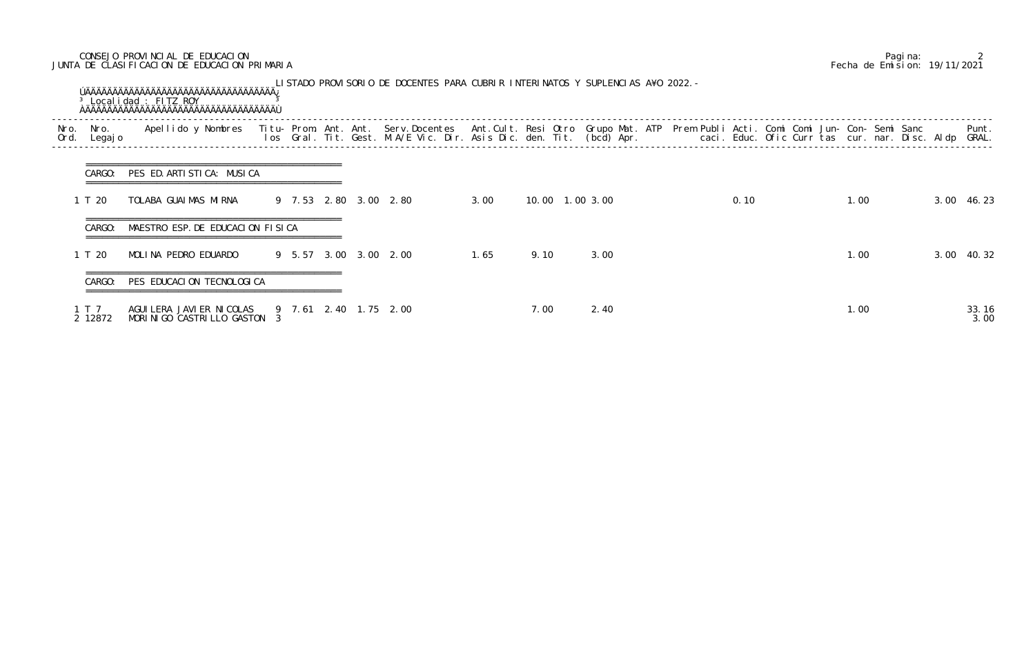## CONSEJO PROVINCIAL DE EDUCACION Pagina: 2 JUNTA DE CLASIFICACION DE EDUCACION PRIMARIA Fecha de Emision: 19/11/2021

| Nro.<br>Ord. | Nro.<br>Legaj o  | Apellido y Nombres - Titu- Prom. Ant. Ant. Serv.Docentes - Ant.Cult. Resi Otro Grupo Mat. ATP - Prem Publi Acti. Comi Comi Jun- Con- Semi Sanc - - - - Punt.<br>Ios Gral. Tit. Gest. M.A/E Vic. Dir. Asis Dic. den. Tit. (bcd) Ap |  |  |                       |      |      |                 |      |  |      |  |      |  |               |
|--------------|------------------|-----------------------------------------------------------------------------------------------------------------------------------------------------------------------------------------------------------------------------------|--|--|-----------------------|------|------|-----------------|------|--|------|--|------|--|---------------|
|              | CARGO:           | PES ED. ARTISTICA: MUSICA                                                                                                                                                                                                         |  |  |                       |      |      |                 |      |  |      |  |      |  |               |
|              | 1 T 20           | TOLABA GUAIMAS MIRNA                                                                                                                                                                                                              |  |  | 9 7.53 2.80 3.00 2.80 | 3.00 |      | 10.00 1.00 3.00 |      |  | 0.10 |  | 1.00 |  | 3.00 46.23    |
|              | CARGO:           | MAESTRO ESP. DE EDUCACION FISICA                                                                                                                                                                                                  |  |  |                       |      |      |                 |      |  |      |  |      |  |               |
|              | 1 T 20           | MOLINA PEDRO EDUARDO                                                                                                                                                                                                              |  |  | 9 5.57 3.00 3.00 2.00 | 1.65 | 9.10 |                 | 3.00 |  |      |  | 1.00 |  | 3.00 40.32    |
|              | CARGO:           | PES EDUCACION TECNOLOGICA                                                                                                                                                                                                         |  |  |                       |      |      |                 |      |  |      |  |      |  |               |
|              | 1 T 7<br>2 12872 | AGUI LERA JAVI ER NI COLAS<br>MORINIGO CASTRILLO GASTON 3                                                                                                                                                                         |  |  | 9 7.61 2.40 1.75 2.00 |      | 7.00 |                 | 2.40 |  |      |  | 1.00 |  | 33.16<br>3.00 |